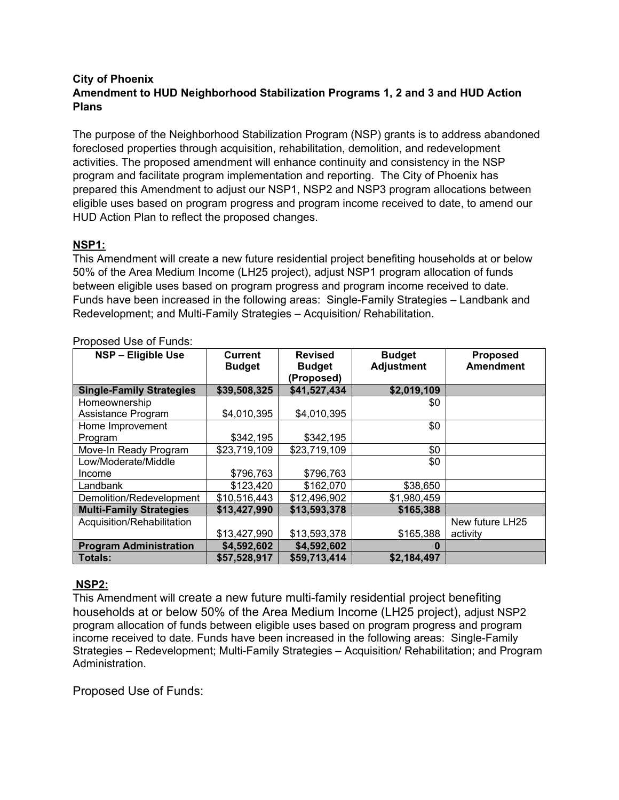### **City of Phoenix Amendment to HUD Neighborhood Stabilization Programs 1, 2 and 3 and HUD Action Plans**

The purpose of the Neighborhood Stabilization Program (NSP) grants is to address abandoned foreclosed properties through acquisition, rehabilitation, demolition, and redevelopment activities. The proposed amendment will enhance continuity and consistency in the NSP program and facilitate program implementation and reporting. The City of Phoenix has prepared this Amendment to adjust our NSP1, NSP2 and NSP3 program allocations between eligible uses based on program progress and program income received to date, to amend our HUD Action Plan to reflect the proposed changes.

### **NSP1:**

This Amendment will create a new future residential project benefiting households at or below 50% of the Area Medium Income (LH25 project), adjust NSP1 program allocation of funds between eligible uses based on program progress and program income received to date. Funds have been increased in the following areas: Single-Family Strategies – Landbank and Redevelopment; and Multi-Family Strategies – Acquisition/ Rehabilitation.

| NSP - Eligible Use              | <b>Current</b><br><b>Budget</b> | <b>Revised</b><br><b>Budget</b><br>(Proposed) | <b>Budget</b><br><b>Adjustment</b> | <b>Proposed</b><br><b>Amendment</b> |
|---------------------------------|---------------------------------|-----------------------------------------------|------------------------------------|-------------------------------------|
| <b>Single-Family Strategies</b> | \$39,508,325                    | \$41,527,434                                  | \$2,019,109                        |                                     |
| Homeownership                   |                                 |                                               | \$0                                |                                     |
| Assistance Program              | \$4,010,395                     | \$4,010,395                                   |                                    |                                     |
| Home Improvement                |                                 |                                               | \$0                                |                                     |
| Program                         | \$342,195                       | \$342,195                                     |                                    |                                     |
| Move-In Ready Program           | \$23,719,109                    | \$23,719,109                                  | \$0                                |                                     |
| Low/Moderate/Middle             |                                 |                                               | \$0                                |                                     |
| Income                          | \$796,763                       | \$796,763                                     |                                    |                                     |
| Landbank                        | \$123,420                       | \$162,070                                     | \$38,650                           |                                     |
| Demolition/Redevelopment        | \$10,516,443                    | \$12,496,902                                  | \$1,980,459                        |                                     |
| <b>Multi-Family Strategies</b>  | \$13,427,990                    | \$13,593,378                                  | \$165,388                          |                                     |
| Acquisition/Rehabilitation      |                                 |                                               |                                    | New future LH25                     |
|                                 | \$13,427,990                    | \$13,593,378                                  | \$165,388                          | activity                            |
| <b>Program Administration</b>   | \$4,592,602                     | \$4,592,602                                   | O                                  |                                     |
| <b>Totals:</b>                  | \$57,528,917                    | \$59,713,414                                  | \$2,184,497                        |                                     |

#### Proposed Use of Funds:

### **NSP2:**

This Amendment will create a new future multi-family residential project benefiting households at or below 50% of the Area Medium Income (LH25 project), adjust NSP2 program allocation of funds between eligible uses based on program progress and program income received to date. Funds have been increased in the following areas: Single-Family Strategies – Redevelopment; Multi-Family Strategies – Acquisition/ Rehabilitation; and Program Administration.

Proposed Use of Funds: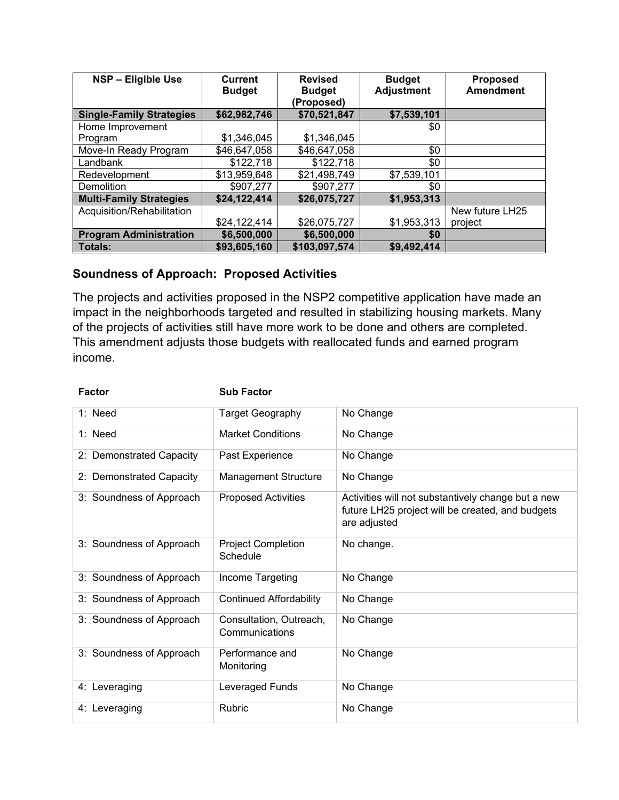| NSP - Eligible Use              | Current<br><b>Budget</b> | <b>Revised</b><br><b>Budget</b><br>(Proposed) | <b>Budget</b><br><b>Adjustment</b> | <b>Proposed</b><br><b>Amendment</b> |
|---------------------------------|--------------------------|-----------------------------------------------|------------------------------------|-------------------------------------|
| <b>Single-Family Strategies</b> | \$62,982,746             | \$70,521,847                                  | \$7,539,101                        |                                     |
| Home Improvement                |                          |                                               | \$0                                |                                     |
| Program                         | \$1,346,045              | \$1,346,045                                   |                                    |                                     |
| Move-In Ready Program           | \$46,647,058             | \$46,647,058                                  | \$0                                |                                     |
| Landbank                        | \$122,718                | \$122,718                                     | \$0                                |                                     |
| Redevelopment                   | \$13,959,648             | \$21,498,749                                  | \$7,539,101                        |                                     |
| <b>Demolition</b>               | \$907,277                | \$907,277                                     | \$0                                |                                     |
| <b>Multi-Family Strategies</b>  | \$24,122,414             | \$26,075,727                                  | \$1,953,313                        |                                     |
| Acquisition/Rehabilitation      |                          |                                               |                                    | New future LH25                     |
|                                 | \$24,122,414             | \$26,075,727                                  | \$1,953,313                        | project                             |
| <b>Program Administration</b>   | \$6,500,000              | \$6,500,000                                   | \$0                                |                                     |
| <b>Totals:</b>                  | \$93,605,160             | \$103,097,574                                 | \$9,492,414                        |                                     |

## **Soundness of Approach: Proposed Activities**

The projects and activities proposed in the NSP2 competitive application have made an impact in the neighborhoods targeted and resulted in stabilizing housing markets. Many of the projects of activities still have more work to be done and others are completed. This amendment adjusts those budgets with reallocated funds and earned program income.

| <b>Factor</b>            | <b>Sub Factor</b>                         |                                                                                                                        |
|--------------------------|-------------------------------------------|------------------------------------------------------------------------------------------------------------------------|
| $1:$ Need                | <b>Target Geography</b>                   | No Change                                                                                                              |
| $1:$ Need                | <b>Market Conditions</b>                  | No Change                                                                                                              |
| 2: Demonstrated Capacity | Past Experience                           | No Change                                                                                                              |
| 2: Demonstrated Capacity | <b>Management Structure</b>               | No Change                                                                                                              |
| 3: Soundness of Approach | <b>Proposed Activities</b>                | Activities will not substantively change but a new<br>future LH25 project will be created, and budgets<br>are adjusted |
| 3: Soundness of Approach | <b>Project Completion</b><br>Schedule     | No change.                                                                                                             |
| 3: Soundness of Approach | Income Targeting                          | No Change                                                                                                              |
| 3: Soundness of Approach | <b>Continued Affordability</b>            | No Change                                                                                                              |
| 3: Soundness of Approach | Consultation, Outreach,<br>Communications | No Change                                                                                                              |
| 3: Soundness of Approach | Performance and<br>Monitoring             | No Change                                                                                                              |
| 4: Leveraging            | Leveraged Funds                           | No Change                                                                                                              |
| 4: Leveraging            | <b>Rubric</b>                             | No Change                                                                                                              |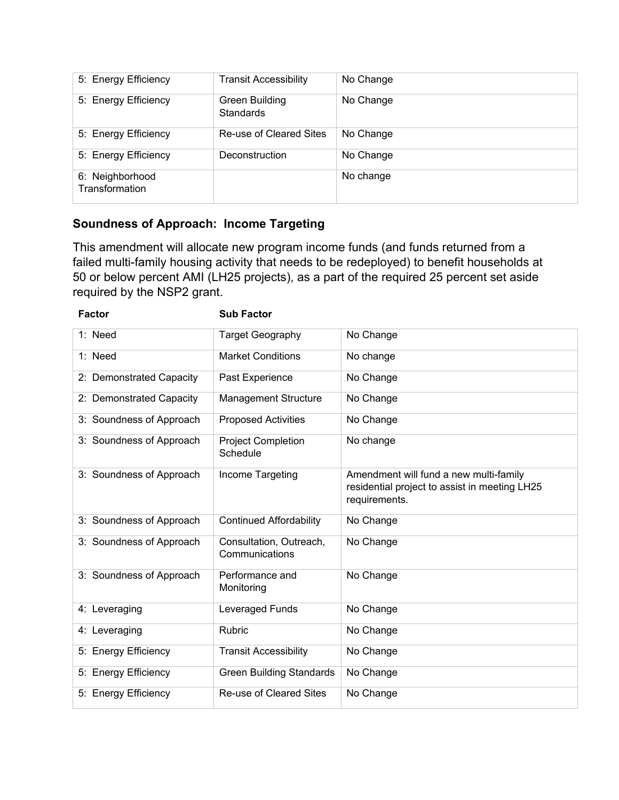| 5: Energy Efficiency              | <b>Transit Accessibility</b>       | No Change |
|-----------------------------------|------------------------------------|-----------|
| 5: Energy Efficiency              | Green Building<br><b>Standards</b> | No Change |
| 5: Energy Efficiency              | Re-use of Cleared Sites            | No Change |
| 5: Energy Efficiency              | Deconstruction                     | No Change |
| 6: Neighborhood<br>Transformation |                                    | No change |

# **Soundness of Approach: Income Targeting**

This amendment will allocate new program income funds (and funds returned from a failed multi-family housing activity that needs to be redeployed) to benefit households at 50 or below percent AMI (LH25 projects), as a part of the required 25 percent set aside required by the NSP2 grant.

| <b>Factor</b>            | <b>Sub Factor</b>                         |                                                                                                          |
|--------------------------|-------------------------------------------|----------------------------------------------------------------------------------------------------------|
| 1: Need                  | <b>Target Geography</b>                   | No Change                                                                                                |
| 1: Need                  | <b>Market Conditions</b>                  | No change                                                                                                |
| 2: Demonstrated Capacity | Past Experience                           | No Change                                                                                                |
| 2: Demonstrated Capacity | <b>Management Structure</b>               | No Change                                                                                                |
| 3: Soundness of Approach | <b>Proposed Activities</b>                | No Change                                                                                                |
| 3: Soundness of Approach | <b>Project Completion</b><br>Schedule     | No change                                                                                                |
| 3: Soundness of Approach | Income Targeting                          | Amendment will fund a new multi-family<br>residential project to assist in meeting LH25<br>requirements. |
| 3: Soundness of Approach | <b>Continued Affordability</b>            | No Change                                                                                                |
| 3: Soundness of Approach | Consultation, Outreach,<br>Communications | No Change                                                                                                |
| 3: Soundness of Approach | Performance and<br>Monitoring             | No Change                                                                                                |
| 4: Leveraging            | Leveraged Funds                           | No Change                                                                                                |
| 4: Leveraging            | <b>Rubric</b>                             | No Change                                                                                                |
| 5: Energy Efficiency     | <b>Transit Accessibility</b>              | No Change                                                                                                |
| 5: Energy Efficiency     | <b>Green Building Standards</b>           | No Change                                                                                                |
| 5: Energy Efficiency     | <b>Re-use of Cleared Sites</b>            | No Change                                                                                                |